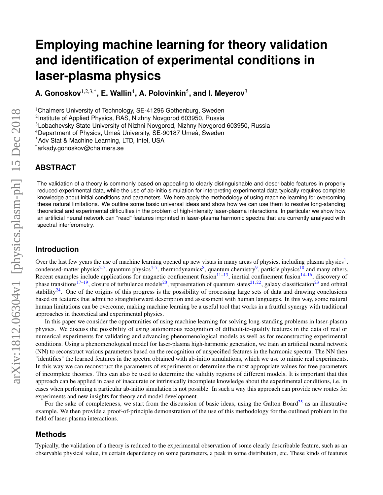# **Employing machine learning for theory validation and identification of experimental conditions in laser-plasma physics**

 $A.$  Gonoskov $^{1,2,3,*}$ , E. Wallin $^{4}$ , A. Polovinkin $^{5}$ , and I. Meyerov $^{3}$ 

<sup>1</sup>Chalmers University of Technology, SE-41296 Gothenburg, Sweden

2 Institute of Applied Physics, RAS, Nizhny Novgorod 603950, Russia

 $4$ Department of Physics, Umeå University, SE-90187 Umeå, Sweden

<sup>5</sup>Adv Stat & Machine Learning, LTD, Intel, USA

\*arkady.gonoskov@chalmers.se

# **ABSTRACT**

The validation of a theory is commonly based on appealing to clearly distinguishable and describable features in properly reduced experimental data, while the use of ab-initio simulation for interpreting experimental data typically requires complete knowledge about initial conditions and parameters. We here apply the methodology of using machine learning for overcoming these natural limitations. We outline some basic universal ideas and show how we can use them to resolve long-standing theoretical and experimental difficulties in the problem of high-intensity laser-plasma interactions. In particular we show how an artificial neural network can "read" features imprinted in laser-plasma harmonic spectra that are currently analysed with spectral interferometry.

## **Introduction**

Over the last few years the use of machine learning opened up new vistas in many areas of physics, including plasma physics<sup>[1](#page-11-0)</sup>, condensed-matter physics<sup>[2,](#page-11-1)[3](#page-11-2)</sup>, quantum physics<sup>[4](#page-11-3)[–7](#page-12-0)</sup>, thermodynamics<sup>[8](#page-12-1)</sup>, quantum chemistry<sup>[9](#page-12-2)</sup>, particle physics<sup>[10](#page-12-3)</sup> and many others. Recent examples include applications for magnetic confinement fusion $11-13$  $11-13$ , inertial confinement fusion $14-16$  $14-16$ , discovery of phase transitions<sup>[17](#page-12-8)[–19](#page-12-9)</sup>, closure of turbulence models<sup>[20](#page-12-10)</sup>, representation of quantum states<sup>[21,](#page-12-11)[22](#page-12-12)</sup>, galaxy classification<sup>[23](#page-12-13)</sup> and orbital stability<sup>[24](#page-12-14)</sup>. One of the origins of this progress is the possibility of processing large sets of data and drawing conclusions based on features that admit no straightforward description and assessment with human languages. In this way, some natural human limitations can be overcome, making machine learning be a useful tool that works in a fruitful synergy with traditional approaches in theoretical and experimental physics.

In this paper we consider the opportunities of using machine learning for solving long-standing problems in laser-plasma physics. We discuss the possibility of using autonomous recognition of difficult-to-qualify features in the data of real or numerical experiments for validating and advancing phenomenological models as well as for reconstructing experimental conditions. Using a phenomenological model for laser-plasma high-harmonic generation, we train an artificial neural network (NN) to reconstruct various parameters based on the recognition of unspecified features in the harmonic spectra. The NN then "identifies" the learned features in the spectra obtained with ab-initio simulations, which we use to mimic real experiments. In this way we can reconstruct the parameters of experiments or determine the most appropriate values for free parameters of incomplete theories. This can also be used to determine the validity regions of different models. It is important that this approach can be applied in case of inaccurate or intrinsically incomplete knowledge about the experimental conditions, i.e. in cases when performing a particular ab-initio simulation is not possible. In such a way this approach can provide new routes for experiments and new insights for theory and model development.

For the sake of completeness, we start from the discussion of basic ideas, using the Galton Board<sup>[25](#page-12-15)</sup> as an illustrative example. We then provide a proof-of-principle demonstration of the use of this methodology for the outlined problem in the field of laser-plasma interactions.

## **Methods**

Typically, the validation of a theory is reduced to the experimental observation of some clearly describable feature, such as an observable physical value, its certain dependency on some parameters, a peak in some distribution, etc. These kinds of features

<sup>3</sup>Lobachevsky State University of Nizhni Novgorod, Nizhny Novgorod 603950, Russia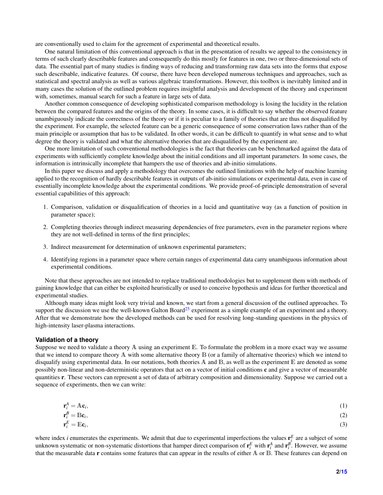are conventionally used to claim for the agreement of experimental and theoretical results.

One natural limitation of this conventional approach is that in the presentation of results we appeal to the consistency in terms of such clearly describable features and consequently do this mostly for features in one, two or three-dimensional sets of data. The essential part of many studies is finding ways of reducing and transforming raw data sets into the forms that expose such describable, indicative features. Of course, there have been developed numerous techniques and approaches, such as statistical and spectral analysis as well as various algebraic transformations. However, this toolbox is inevitably limited and in many cases the solution of the outlined problem requires insightful analysis and development of the theory and experiment with, sometimes, manual search for such a feature in large sets of data.

Another common consequence of developing sophisticated comparison methodology is losing the lucidity in the relation between the compared features and the origins of the theory. In some cases, it is difficult to say whether the observed feature unambiguously indicate the correctness of the theory or if it is peculiar to a family of theories that are thus not disqualified by the experiment. For example, the selected feature can be a generic consequence of some conservation laws rather than of the main principle or assumption that has to be validated. In other words, it can be difficult to quantify in what sense and to what degree the theory is validated and what the alternative theories that are disqualified by the experiment are.

One more limitation of such conventional methodologies is the fact that theories can be benchmarked against the data of experiments with sufficiently complete knowledge about the initial conditions and all important parameters. In some cases, the information is intrinsically incomplete that hampers the use of theories and ab-initio simulations.

In this paper we discuss and apply a methodology that overcomes the outlined limitations with the help of machine learning applied to the recognition of hardly describable features in outputs of ab-initio simulations or experimental data, even in case of essentially incomplete knowledge about the experimental conditions. We provide proof-of-principle demonstration of several essential capabilities of this approach:

- 1. Comparison, validation or disqualification of theories in a lucid and quantitative way (as a function of position in parameter space);
- 2. Completing theories through indirect measuring dependencies of free parameters, even in the parameter regions where they are not well-defined in terms of the first principles;
- 3. Indirect measurement for determination of unknown experimental parameters;
- 4. Identifying regions in a parameter space where certain ranges of experimental data carry unambiguous information about experimental conditions.

Note that these approaches are not intended to replace traditional methodologies but to supplement them with methods of gaining knowledge that can either be exploited heuristically or used to conceive hypothesis and ideas for further theoretical and experimental studies.

Although many ideas might look very trivial and known, we start from a general discussion of the outlined approaches. To support the discussion we use the well-known Galton Board<sup>[25](#page-12-15)</sup> experiment as a simple example of an experiment and a theory. After that we demonstrate how the developed methods can be used for resolving long-standing questions in the physics of high-intensity laser-plasma interactions.

#### **Validation of a theory**

Suppose we need to validate a theory A using an experiment E. To formulate the problem in a more exact way we assume that we intend to compare theory A with some alternative theory B (or a family of alternative theories) which we intend to disqualify using experimental data. In our notations, both theories  $A$  and  $B$ , as well as the experiment  $E$  are denoted as some possibly non-linear and non-deterministic operators that act on a vector of initial conditions c and give a vector of measurable quantities r. These vectors can represent a set of data of arbitrary composition and dimensionality. Suppose we carried out a sequence of experiments, then we can write:

$$
\mathbf{r}_i^A = A \mathbf{c}_i,\tag{1}
$$

$$
\mathbf{r}_i^B = \mathbf{B}\mathbf{c}_i,\tag{2}
$$

$$
\mathbf{r}_i^E = \mathbb{E} \mathbf{c}_i,\tag{3}
$$

where index *i* enumerates the experiments. We admit that due to experimental imperfections the values  $\mathbf{r}_i^E$  are a subject of some unknown systematic or non-systematic distortions that hamper direct comparison of  $r_i^E$  with  $r_i^A$  and  $r_i^B$ . However, we assume that the measurable data r contains some features that can appear in the results of either A or B. These features can depend on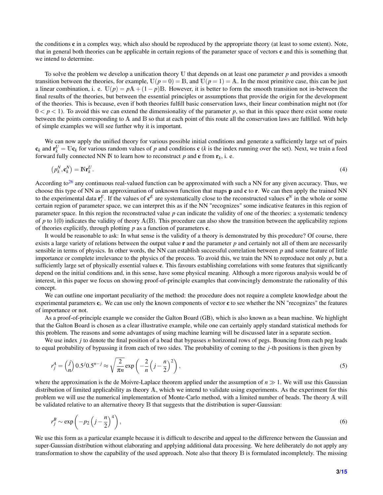the conditions c in a complex way, which also should be reproduced by the appropriate theory (at least to some extent). Note, that in general both theories can be applicable in certain regions of the parameter space of vectors c and this is something that we intend to determine.

To solve the problem we develop a unification theory U that depends on at least one parameter *p* and provides a smooth transition between the theories, for example,  $\mathbb{U}(p=0) = \mathbb{B}$ , and  $\mathbb{U}(p=1) = \mathbb{A}$ . In the most primitive case, this can be just a linear combination, i. e.  $U(p) = pA + (1 - p)B$ . However, it is better to form the smooth transition not in-between the final results of the theories, but between the essential principles or assumptions that provide the origin for the development of the theories. This is because, even if both theories fulfill basic conservation laws, their linear combination might not (for  $0 < p < 1$ ). To avoid this we can extend the dimensionality of the parameter p, so that in this space there exist some route between the points corresponding to A and B so that at each point of this route all the conservation laws are fulfilled. With help of simple examples we will see further why it is important.

We can now apply the unified theory for various possible initial conditions and generate a sufficiently large set of pairs  $\mathbf{c}_k$  and  $\mathbf{r}_k^U = \mathbf{U}\mathbf{c}_k$  for various random values of *p* and conditions **c** (*k* is the index running over the set). Next, we train a feed forward fully connected NN IN to learn how to reconstruct p and c from  $\mathbf{r}_k$ , i. e.

$$
\left(p_k^N, \mathbf{c}_k^N\right) = \mathbb{N}\mathbf{r}_k^U. \tag{4}
$$

According to<sup>[26](#page-12-16)</sup> any continuous real-valued function can be approximated with such a NN for any given accuracy. Thus, we choose this type of NN as an approximation of unknown function that maps p and c to r. We can then apply the trained NN to the experimental data  $\mathbf{r}_i^E$ . If the values of  $\mathbf{c}^E$  are systematically close to the reconstructed values  $\mathbf{c}^N$  in the whole or some certain region of parameter space, we can interpret this as if the NN "recognizes" some indicative features in this region of parameter space. In this region the reconstructed value *p* can indicate the validity of one of the theories: a systematic tendency of *p* to 1(0) indicates the validity of theory  $A(B)$ . This procedure can also show the transition between the applicability regions of theories explicitly, through plotting *p* as a function of parameters c.

It would be reasonable to ask: In what sense is the validity of a theory is demonstrated by this procedure? Of course, there exists a large variety of relations between the output value **r** and the parameter *p* and certainly not all of them are necessarily sensible in terms of physics. In other words, the NN can establish successful correlation between *p* and some feature of little importance or complete irrelevance to the physics of the process. To avoid this, we train the NN to reproduce not only *p*, but a sufficiently large set of physically essential values c. This favours establishing correlations with some features that significantly depend on the initial conditions and, in this sense, have some physical meaning. Although a more rigorous analysis would be of interest, in this paper we focus on showing proof-of-principle examples that convincingly demonstrate the rationality of this concept.

We can outline one important peculiarity of the method: the procedure does not require a complete knowledge about the experimental parameters c*<sup>i</sup>* . We can use only the known components of vector c to see whether the NN "recognizes" the features of importance or not.

As a proof-of-principle example we consider the Galton Board (GB), which is also known as a bean machine. We highlight that the Galton Board is chosen as a clear illustrative example, while one can certainly apply standard statistical methods for this problem. The reasons and some advantages of using machine learning will be discussed later in a separate section.

We use index *j* to denote the final position of a bead that bypasses *n* horizontal rows of pegs. Bouncing from each peg leads to equal probability of bypassing it from each of two sides. The probability of coming to the *j*-th positions is then given by

<span id="page-2-0"></span>
$$
r_j^A = \binom{j}{n} 0.5^j 0.5^{n-j} \approx \sqrt{\frac{2}{\pi n}} \exp\left(-\frac{2}{n}\left(j - \frac{n}{2}\right)^2\right),\tag{5}
$$

where the approximation is the de Moivre-Laplace theorem applied under the assumption of  $n \gg 1$ . We will use this Gaussian distribution of limited applicability as theory A, which we intend to validate using experiments. As the experiment for this problem we will use the numerical implementation of Monte-Carlo method, with a limited number of beads. The theory A will be validated relative to an alternative theory B that suggests that the distribution is super-Gaussian:

$$
r_j^B \sim \exp\left(-p_2\left(j-\frac{n}{2}\right)^4\right),\tag{6}
$$

We use this form as a particular example because it is difficult to describe and appeal to the difference between the Gaussian and super-Gaussian distribution without elaborating and applying additional data processing. We here deliberately do not apply any transformation to show the capability of the used approach. Note also that theory B is formulated incompletely. The missing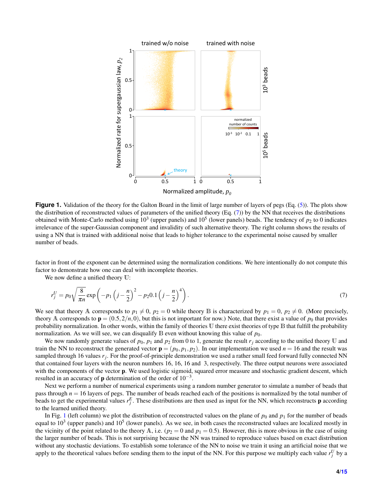<span id="page-3-1"></span>

**Figure 1.** Validation of the theory for the Galton Board in the limit of large number of layers of pegs (Eq. [\(5\)](#page-2-0)). The plots show the distribution of reconstructed values of parameters of the unified theory (Eq.  $(7)$ ) by the NN that receives the distributions obtained with Monte-Carlo method using  $10^3$  (upper panels) and  $10^5$  (lower panels) beads. The tendency of  $p_2$  to 0 indicates irrelevance of the super-Gaussian component and invalidity of such alternative theory. The right column shows the results of using a NN that is trained with additional noise that leads to higher tolerance to the experimental noise caused by smaller number of beads.

factor in front of the exponent can be determined using the normalization conditions. We here intentionally do not compute this factor to demonstrate how one can deal with incomplete theories.

We now define a unified theory U:

<span id="page-3-0"></span>
$$
r_j^U = p_0 \sqrt{\frac{8}{\pi n}} \exp\left(-p_1 \left(j - \frac{n}{2}\right)^2 - p_2 0.1 \left(j - \frac{n}{2}\right)^4\right).
$$
 (7)

We see that theory A corresponds to  $p_1 \neq 0$ ,  $p_2 = 0$  while theory B is characterized by  $p_1 = 0$ ,  $p_2 \neq 0$ . (More precisely, theory A corresponds to  $\mathbf{p} = (0.5, 2/n, 0)$ , but this is not important for now.) Note, that there exist a value of  $p_0$  that provides probability normalization. In other words, within the family of theories U there exist theories of type B that fulfill the probability normalization. As we will see, we can disqualify  $\mathbb B$  even without knowing this value of  $p_0$ .

We now randomly generate values of  $p_0$ ,  $p_1$  and  $p_2$  from 0 to 1, generate the result  $r_j$  according to the unified theory U and train the NN to reconstruct the generated vector  $\mathbf{p} = (p_0, p_1, p_2)$ . In our implementation we used  $n = 16$  and the result was sampled through 16 values  $r_j$ . For the proof-of-principle demonstration we used a rather small feed forward fully connected NN that contained four layers with the neuron numbers 16, 16, 16 and 3, respectively. The three output neurons were associated with the components of the vector **p**. We used logistic sigmoid, squared error measure and stochastic gradient descent, which resulted in an accuracy of **p** determination of the order of  $10^{-3}$ .

Next we perform a number of numerical experiments using a random number generator to simulate a number of beads that pass through *n* = 16 layers of pegs. The number of beads reached each of the positions is normalized by the total number of beads to get the experimental values  $r_j^E$ . These distributions are then used as input for the NN, which reconstructs **p** according to the learned unified theory.

In Fig. [1](#page-3-1) (left column) we plot the distribution of reconstructed values on the plane of  $p_0$  and  $p_1$  for the number of beads equal to  $10^3$  (upper panels) and  $10^5$  (lower panels). As we see, in both cases the reconstructed values are localized mostly in the vicinity of the point related to the theory A, i.e. ( $p_2 = 0$  and  $p_1 = 0.5$ ). However, this is more obvious in the case of using the larger number of beads. This is not surprising because the NN was trained to reproduce values based on exact distribution without any stochastic deviations. To establish some tolerance of the NN to noise we train it using an artificial noise that we apply to the theoretical values before sending them to the input of the NN. For this purpose we multiply each value  $r_j^U$  by a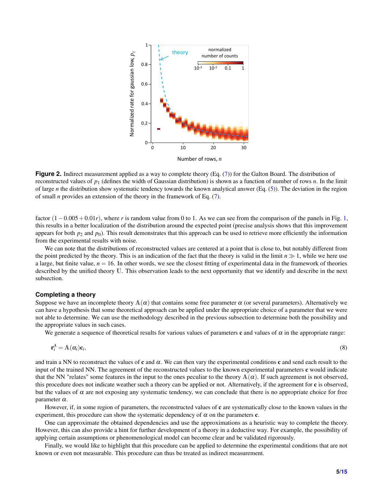<span id="page-4-0"></span>

**Figure 2.** Indirect measurement applied as a way to complete theory (Eq. [\(7\)](#page-3-0)) for the Galton Board. The distribution of reconstructed values of *p*<sup>1</sup> (defines the width of Gaussian distribution) is shown as a function of number of rows *n*. In the limit of large *n* the distribution show systematic tendency towards the known analytical answer (Eq. [\(5\)](#page-2-0)). The deviation in the region of small *n* provides an extension of the theory in the framework of Eq. [\(7\)](#page-3-0).

factor (1−0.005+0.01*r*), where *r* is random value from 0 to 1. As we can see from the comparison of the panels in Fig. [1,](#page-3-1) this results in a better localization of the distribution around the expected point (precise analysis shows that this improvement appears for both  $p_2$  and  $p_0$ ). This result demonstrates that this approach can be used to retrieve more efficiently the information from the experimental results with noise.

We can note that the distributions of reconstructed values are centered at a point that is close to, but notably different from the point predicted by the theory. This is an indication of the fact that the theory is valid in the limit  $n \geq 1$ , while we here use a large, but finite value,  $n = 16$ . In other words, we see the closest fitting of experimental data in the framework of theories described by the unified theory U. This observation leads to the next opportunity that we identify and describe in the next subsection.

#### **Completing a theory**

Suppose we have an incomplete theory  $\mathbb{A}(\alpha)$  that contains some free parameter  $\alpha$  (or several parameters). Alternatively we can have a hypothesis that some theoretical approach can be applied under the appropriate choice of a parameter that we were not able to determine. We can use the methodology described in the previous subsection to determine both the possibility and the appropriate values in such cases.

We generate a sequence of theoretical results for various values of parameters c and values of  $\alpha$  in the appropriate range:

$$
\mathbf{r}_i^A = \mathbf{A}(\alpha_i)\mathbf{c}_i,\tag{8}
$$

and train a NN to reconstruct the values of c and  $\alpha$ . We can then vary the experimental conditions c and send each result to the input of the trained NN. The agreement of the reconstructed values to the known experimental parameters **c** would indicate that the NN "relates" some features in the input to the ones peculiar to the theory  $\mathbb{A}(\alpha)$ . If such agreement is not observed, this procedure does not indicate weather such a theory can be applied or not. Alternatively, if the agreement for c is observed, but the values of  $\alpha$  are not exposing any systematic tendency, we can conclude that there is no appropriate choice for free parameter  $\alpha$ .

However, if, in some region of parameters, the reconstructed values of  $c$  are systematically close to the known values in the experiment, this procedure can show the systematic dependency of  $\alpha$  on the parameters **c**.

One can approximate the obtained dependencies and use the approximations as a heuristic way to complete the theory. However, this can also provide a hint for further development of a theory in a deductive way. For example, the possibility of applying certain assumptions or phenomenological model can become clear and be validated rigorously.

Finally, we would like to highlight that this procedure can be applied to determine the experimental conditions that are not known or even not measurable. This procedure can thus be treated as indirect measurement.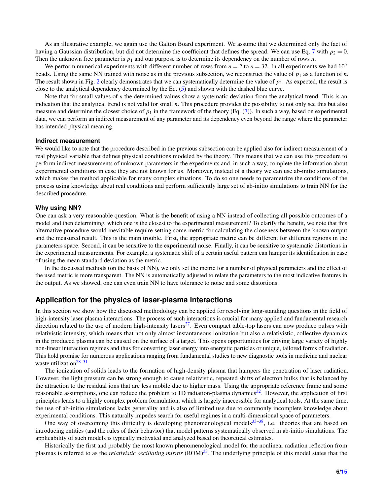As an illustrative example, we again use the Galton Board experiment. We assume that we determined only the fact of having a Gaussian distribution, but did not determine the coefficient that defines the spread. We can use Eq. [7](#page-3-0) with  $p_2 = 0$ . Then the unknown free parameter is  $p_1$  and our purpose is to determine its dependency on the number of rows  $n$ .

We perform numerical experiments with different number of rows from  $n = 2$  to  $n = 32$ . In all experiments we had  $10<sup>5</sup>$ beads. Using the same NN trained with noise as in the previous subsection, we reconstruct the value of  $p_1$  as a function of *n*. The result shown in Fig. [2](#page-4-0) clearly demonstrates that we can systematically determine the value of  $p_1$ . As expected, the result is close to the analytical dependency determined by the Eq. [\(5\)](#page-2-0) and shown with the dashed blue curve.

Note that for small values of *n* the determined values show a systematic deviation from the analytical trend. This is an indication that the analytical trend is not valid for small *n*. This procedure provides the possibility to not only see this but also measure and determine the closest choice of  $p_1$  in the framework of the theory (Eq. [\(7\)](#page-3-0)). In such a way, based on experimental data, we can perform an indirect measurement of any parameter and its dependency even beyond the range where the parameter has intended physical meaning.

#### **Indirect measurement**

We would like to note that the procedure described in the previous subsection can be applied also for indirect measurement of a real physical variable that defines physical conditions modeled by the theory. This means that we can use this procedure to perform indirect measurements of unknown parameters in the experiments and, in such a way, complete the information about experimental conditions in case they are not known for us. Moreover, instead of a theory we can use ab-initio simulations, which makes the method applicable for many complex situations. To do so one needs to parametrize the conditions of the process using knowledge about real conditions and perform sufficiently large set of ab-initio simulations to train NN for the described procedure.

#### **Why using NN?**

One can ask a very reasonable question: What is the benefit of using a NN instead of collecting all possible outcomes of a model and then determining, which one is the closest to the experimental measurement? To clarify the benefit, we note that this alternative procedure would inevitable require setting some metric for calculating the closeness between the known output and the measured result. This is the main trouble. First, the appropriate metric can be different for different regions in the parameters space. Second, it can be sensitive to the experimental noise. Finally, it can be sensitive to systematic distortions in the experimental measurements. For example, a systematic shift of a certain useful pattern can hamper its identification in case of using the mean standard deviation as the metric.

In the discussed methods (on the basis of NN), we only set the metric for a number of physical parameters and the effect of the used metric is more transparent. The NN is automatically adjusted to relate the parameters to the most indicative features in the output. As we showed, one can even train NN to have tolerance to noise and some distortions.

## **Application for the physics of laser-plasma interactions**

In this section we show how the discussed methodology can be applied for resolving long-standing questions in the field of high-intensity laser-plasma interactions. The process of such interactions is crucial for many applied and fundamental research direction related to the use of modern high-intensity lasers<sup>[27](#page-12-17)</sup>. Even compact table-top lasers can now produce pulses with relativistic intensity, which means that not only almost instantaneous ionization but also a relativistic, collective dynamics in the produced plasma can be caused on the surface of a target. This opens opportunities for driving large variety of highly non-linear interaction regimes and thus for converting laser energy into energetic particles or unique, tailored forms of radiation. This hold promise for numerous applications ranging from fundamental studies to new diagnostic tools in medicine and nuclear waste utilization<sup>[28](#page-12-18)[–31](#page-13-0)</sup>.

The ionization of solids leads to the formation of high-density plasma that hampers the penetration of laser radiation. However, the light pressure can be strong enough to cause relativistic, repeated shifts of electron bulks that is balanced by the attraction to the residual ions that are less mobile due to higher mass. Using the appropriate reference frame and some reasonable assumptions, one can reduce the problem to 1D radiation-plasma dynamics<sup>[32](#page-13-1)</sup>. However, the application of first principles leads to a highly complex problem formulation, which is largely inaccessible for analytical tools. At the same time, the use of ab-initio simulations lacks generality and is also of limited use due to commonly incomplete knowledge about experimental conditions. This naturally impedes search for useful regimes in a multi-dimensional space of parameters.

One way of overcoming this difficulty is developing phenomenological models $33-38$  $33-38$ , i.e. theories that are based on introducing entities (and the rules of their behavior) that model patterns systematically observed in ab-initio simulations. The applicability of such models is typically motivated and analyzed based on theoretical estimates.

Historically the first and probably the most known phenomenological model for the nonlinear radiation reflection from plasmas is referred to as the *relativistic oscillating mirror* (ROM)[33](#page-13-2). The underlying principle of this model states that the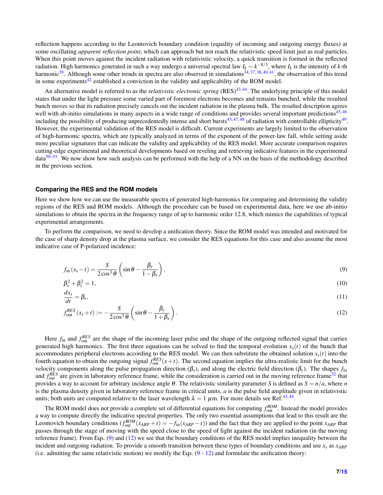reflection happens according to the Leontovich boundary condition (equality of incoming and outgoing energy fluxes) at some oscillating *apparent reflection point*, which can approach but not reach the relativistic speed limit just as real particles. When this point moves against the incident radiation with relativistic velocity, a quick transition is formed in the reflected radiation. High harmonics generated in such a way undergo a universal spectral law  $I_k \sim k^{-8/3}$ , where  $I_k$  is the intensity of *k*-th harmonic<sup>[39](#page-13-4)</sup>. Although some other trends in spectra are also observed in simulations<sup>[34,](#page-13-5) [37,](#page-13-6) [38,](#page-13-3) [40,](#page-13-7) [41](#page-13-8)</sup>, the observation of this trend in some experiments $42$  established a conviction in the validity and applicability of the ROM model.

An alternative model is referred to as the *relativistic electronic spring* (RES)<sup>[43,](#page-13-10)[44](#page-13-11)</sup>. The underlying principle of this model states that under the light pressure some varied part of foremost electrons becomes and remains bunched, while the resulted bunch moves so that its radiation precisely cancels out the incident radiation in the plasma bulk. The resulted description agrees well with ab-initio simulations in many aspects in a wide range of conditions and provides several important predictions<sup>[45,](#page-13-12) [46](#page-13-13)</sup> including the possibility of producing unprecedentedly intense and short bursts<sup>[43,](#page-13-10)[47,](#page-13-14)[48](#page-13-15)</sup> of radiation with controllable ellipticity<sup>[49](#page-13-16)</sup>. However, the experimental validation of the RES model is difficult. Current experiments are largely limited to the observation of high-harmonic spectra, which are typically analyzed in terms of the exponent of the power-law fall, while setting aside more peculiar signatures that can indicate the validity and applicability of the RES model. More accurate comparison requires cutting-edge experimental and theoretical developments based on reveling and retrieving indicative features in the experimental  $data^{50-53}$  $data^{50-53}$  $data^{50-53}$ . We now show how such analysis can be performed with the help of a NN on the basis of the methodology described in the previous section.

#### **Comparing the RES and the ROM models**

Here we show how we can use the measurable spectra of generated high-harmonics for comparing and determining the validity regions of the RES and ROM models. Although the procedure can be based on experimental data, here we use ab-initio simulations to obtain the spectra in the frequency range of up to harmonic order 12.8, which mimics the capabilities of typical experimental arrangements.

To perform the comparison, we need to develop a unification theory. Since the ROM model was intended and motivated for the case of sharp density drop at the plasma surface, we consider the RES equations for this case and also assume the most indicative case of P-polarized incidence:

<span id="page-6-0"></span>
$$
f_{\rm in}(x_s - t) = \frac{S}{2\cos^3\theta} \left( \sin\theta - \frac{\beta_y}{1 - \beta_x} \right),\tag{9}
$$

$$
\beta_x^2 + \beta_y^2 = 1,\tag{10}
$$

$$
\frac{dx_s}{dt} = \beta_x,\tag{11}
$$

$$
f_{\text{out}}^{RES}(x_s + t) := -\frac{S}{2\cos^3\theta} \left(\sin\theta - \frac{\beta_y}{1 + \beta_x}\right). \tag{12}
$$

Here  $f_{\text{in}}$  and  $f_{\text{out}}^{RES}$  are the shape of the incoming laser pulse and the shape of the outgoing reflected signal that carries generated high harmonics. The first three equations can be solved to find the temporal evolution  $x<sub>s</sub>(t)$  of the bunch that accommodates peripheral electrons according to the RES model. We can then substitute the obtained solution  $x<sub>s</sub>(t)$  into the fourth equation to obtain the outgoing signal  $f_{out}^{RES}(x+t)$ . The second equation implies the ultra-realistic limit for the bunch velocity components along the pulse propagation direction  $(\beta_x)$ , and along the electric field direction  $(\beta_y)$ . The shapes  $f_{in}$ and  $f_{\text{out}}^{RES}$  are given in laboratory reference frame, while the consideration is carried out in the moving reference frame<sup>[32](#page-13-1)</sup> that provides a way to account for arbitrary incidence angle θ. The relativistic similarity parameter *S* is defined as *S* = *n*/*a*, where *n* is the plasma density given in laboratory reference frame in critical units, *a* is the pulse field amplitude given in relativistic units; both units are computed relative to the laser wavelength  $\lambda = 1 \mu$ m. For more details see Ref.<sup>[43,](#page-13-10)[44](#page-13-11)</sup>.

The ROM model does not provide a complete set of differential equations for computing  $f_{\text{out}}^{ROM}$ . Instead the model provides a way to compute directly the indicative spectral properties. The only two essential assumptions that lead to this result are the Leontovich boundary conditions  $(f_{out}^{ROM}(x_{ARP} + t) = -f_{in}(x_{ARP} - t))$  and the fact that they are applied to the point  $x_{ARP}$  that passes through the stage of moving with the speed close to the speed of light against the incident radiation (in the moving reference frame). From Eqs. [\(9\)](#page-6-0) and [\(12\)](#page-6-0) we see that the boundary conditions of the RES model implies inequality between the incident and outgoing radiation. To provide a smooth transition between these types of boundary conditions and use *x<sup>s</sup>* as *xARP* (i.e. admitting the same relativistic motion) we modify the Eqs.  $(9 - 12)$  $(9 - 12)$  $(9 - 12)$  and formulate the unification theory: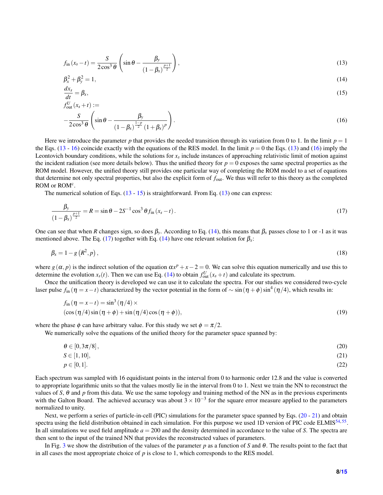<span id="page-7-0"></span>
$$
f_{\rm in}(x_s - t) = \frac{S}{2\cos^3\theta} \left( \sin\theta - \frac{\beta_y}{\left(1 - \beta_x\right)^{\frac{p+1}{2}}}\right),\tag{13}
$$

$$
\beta_x^2 + \beta_y^2 = 1,\tag{14}
$$
\n
$$
\frac{dx_s}{dt} = \beta_x,\tag{15}
$$

$$
\begin{aligned} dt &= \rho x, \\ f_{\text{out}}^U(x_s + t) &:= \end{aligned} \tag{12}
$$

$$
-\frac{S}{2\cos^3\theta}\left(\sin\theta-\frac{\beta_y}{\left(1-\beta_x\right)^{\frac{1-p}{2}}\left(1+\beta_x\right)^p}\right).
$$
\n(16)

Here we introduce the parameter p that provides the needed transition through its variation from 0 to 1. In the limit  $p = 1$ the Eqs. [\(13](#page-7-0) - [16\)](#page-7-0) coincide exactly with the equations of the RES model. In the limit  $p = 0$  the Eqs. [\(13\)](#page-7-0) and [\(16\)](#page-7-0) imply the Leontovich boundary conditions, while the solutions for *x<sup>s</sup>* include instances of approaching relativistic limit of motion against the incident radiation (see more details below). Thus the unified theory for  $p = 0$  exposes the same spectral properties as the ROM model. However, the unified theory still provides one particular way of completing the ROM model to a set of equations that determine not only spectral properties, but also the explicit form of *f*out. We thus will refer to this theory as the completed ROM or ROM<sup>c</sup>.

The numerical solution of Eqs.  $(13 - 15)$  $(13 - 15)$  $(13 - 15)$  is straightforward. From Eq.  $(13)$  one can express:

<span id="page-7-1"></span>
$$
\frac{\beta_{y}}{(1-\beta_{x})^{\frac{p+1}{2}}} = R = \sin\theta - 2S^{-1}\cos^{3}\theta f_{\text{in}}(x_{s}-t).
$$
\n(17)

One can see that when *R* changes sign, so does  $\beta_y$ . According to Eq. [\(14\)](#page-7-0), this means that  $\beta_x$  passes close to 1 or -1 as it was mentioned above. The Eq. [\(17\)](#page-7-1) together with Eq. [\(14\)](#page-7-0) have one relevant solution for  $\beta_x$ :

$$
\beta_x = 1 - g\left(R^2, p\right),\tag{18}
$$

where  $g(\alpha, p)$  is the indirect solution of the equation  $\alpha x^p + x - 2 = 0$ . We can solve this equation numerically and use this to determine the evolution  $x_s(t)$ . Then we can use Eq. [\(14\)](#page-7-0) to obtain  $f_{out}^U(x_s + t)$  and calculate its spectrum.

Once the unification theory is developed we can use it to calculate the spectra. For our studies we considered two-cycle laser pulse  $f_{\text{in}}(\eta = x - t)$  characterized by the vector potential in the form of  $\sim \sin(\eta + \phi) \sin^4(\eta/4)$ , which results in:

<span id="page-7-3"></span>
$$
f_{\text{in}}(\eta = x - t) = \sin^3(\eta/4) \times
$$
  
\n
$$
(\cos(\eta/4)\sin(\eta + \phi) + \sin(\eta/4)\cos(\eta + \phi)),
$$
\n(19)

where the phase  $\phi$  can have arbitrary value. For this study we set  $\phi = \pi/2$ .

We numerically solve the equations of the unified theory for the parameter space spanned by:

<span id="page-7-2"></span>
$$
\theta \in [0, 3\pi/8],\tag{20}
$$

$$
S \in [1, 10], \tag{21}
$$

$$
p \in [0,1]. \tag{22}
$$

Each spectrum was sampled with 16 equidistant points in the interval from 0 to harmonic order 12.8 and the value is converted to appropriate logarithmic units so that the values mostly lie in the interval from 0 to 1. Next we train the NN to reconstruct the values of *S*,  $\theta$  and *p* from this data. We use the same topology and training method of the NN as in the previous experiments with the Galton Board. The achieved accuracy was about  $3 \times 10^{-3}$  for the square error measure applied to the parameters normalized to unity.

Next, we perform a series of particle-in-cell (PIC) simulations for the parameter space spanned by Eqs. [\(20](#page-7-2) - [21\)](#page-7-2) and obtain spectra using the field distribution obtained in each simulation. For this purpose we used 1D version of PIC code ELMIS<sup>[54,](#page-13-19)[55](#page-14-1)</sup>. In all simulations we used field amplitude  $a = 200$  and the density determined in accordance to the value of *S*. The spectra are then sent to the input of the trained NN that provides the reconstructed values of parameters.

In Fig. [3](#page-8-0) we show the distribution of the values of the parameter *p* as a function of *S* and θ. The results point to the fact that in all cases the most appropriate choice of  $p$  is close to 1, which corresponds to the RES model.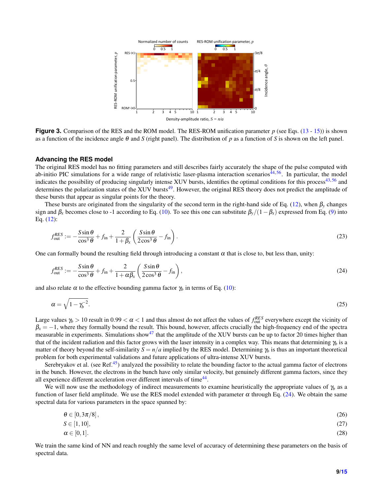<span id="page-8-0"></span>

**Figure 3.** Comparison of the RES and the ROM model. The RES-ROM unification parameter *p* (see Eqs. [\(13](#page-7-0) - [15\)](#page-7-0)) is shown as a function of the incidence angle θ and *S* (right panel). The distribution of *p* as a function of *S* is shown on the left panel.

#### **Advancing the RES model**

The original RES model has no fitting parameters and still describes fairly accurately the shape of the pulse computed with ab-initio PIC simulations for a wide range of relativistic laser-plasma interaction scenarios<sup>[44,](#page-13-11)[56](#page-14-2)</sup>. In particular, the model indicates the possibility of producing singularly intense XUV bursts, identifies the optimal conditions for this process<sup>[43,](#page-13-10)[56](#page-14-2)</sup> and determines the polarization states of the XUV bursts $49$ . However, the original RES theory does not predict the amplitude of these bursts that appear as singular points for the theory.

These bursts are originated from the singularity of the second term in the right-hand side of Eq. [\(12\)](#page-6-0), when β*<sup>y</sup>* changes sign and  $\beta_x$  becomes close to -1 according to Eq. [\(10\)](#page-6-0). To see this one can substitute  $\beta_y/(1-\beta_x)$  expressed from Eq. [\(9\)](#page-6-0) into Eq. [\(12\)](#page-6-0):

$$
f_{\text{out}}^{RES} := -\frac{S\sin\theta}{\cos^3\theta} + f_{\text{in}} + \frac{2}{1+\beta_x} \left( \frac{S\sin\theta}{2\cos^3\theta} - f_{\text{in}} \right). \tag{23}
$$

One can formally bound the resulting field through introducing a constant  $\alpha$  that is close to, but less than, unity:

<span id="page-8-1"></span>
$$
f_{\text{out}}^{RES} := -\frac{S\sin\theta}{\cos^3\theta} + f_{\text{in}} + \frac{2}{1 + \alpha\beta_x} \left(\frac{S\sin\theta}{2\cos^3\theta} - f_{\text{in}}\right),\tag{24}
$$

and also relate  $\alpha$  to the effective bounding gamma factor  $\gamma_b$  in terms of Eq. [\(10\)](#page-6-0):

$$
\alpha = \sqrt{1 - \gamma_b^{-2}}.\tag{25}
$$

Large values  $\gamma_b > 10$  result in  $0.99 < \alpha < 1$  and thus almost do not affect the values of  $f_{\text{out}}^{RES}$  everywhere except the vicinity of  $\beta_x = -1$ , where they formally bound the result. This bound, however, affects crucially the high-frequency end of the spectra measurable in experiments. Simulations show<sup>[47](#page-13-14)</sup> that the amplitude of the XUV bursts can be up to factor 20 times higher than that of the incident radiation and this factor grows with the laser intensity in a complex way. This means that determining  $\gamma_b$  is a matter of theory beyond the self-similarity  $S = n/a$  implied by the RES model. Determining  $\gamma_b$  is thus an important theoretical problem for both experimental validations and future applications of ultra-intense XUV bursts.

Serebryakov et al. (see Ref. $45$ ) analyzed the possibility to relate the bounding factor to the actual gamma factor of electrons in the bunch. However, the electrons in the bunch have only similar velocity, but genuinely different gamma factors, since they all experience different acceleration over different intervals of time<sup>[44](#page-13-11)</sup>.

We will now use the methodology of indirect measurements to examine heuristically the appropriate values of  $\gamma_b$  as a function of laser field amplitude. We use the RES model extended with parameter  $\alpha$  through Eq. [\(24\)](#page-8-1). We obtain the same spectral data for various parameters in the space spanned by:

$$
\theta \in [0, 3\pi/8], \tag{26}
$$

$$
S \in [1, 10],
$$
  
\n
$$
\alpha \in [0, 1].
$$
\n(27)

We train the same kind of NN and reach roughly the same level of accuracy of determining these parameters on the basis of spectral data.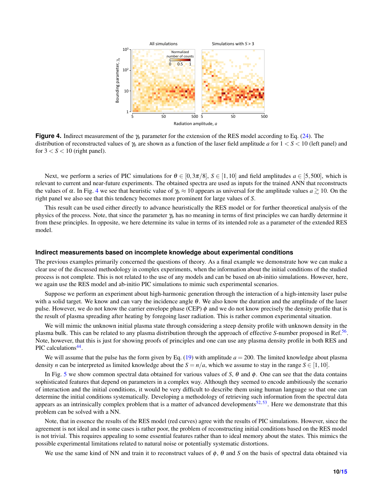<span id="page-9-0"></span>

**Figure 4.** Indirect measurement of the γ*<sup>b</sup>* parameter for the extension of the RES model according to Eq. [\(24\)](#page-8-1). The distribution of reconstructed values of γ*<sup>b</sup>* are shown as a function of the laser field amplitude *a* for 1 < *S* < 10 (left panel) and for  $3 < S < 10$  (right panel).

Next, we perform a series of PIC simulations for  $\theta \in [0,3\pi/8]$ ,  $S \in [1,10]$  and field amplitudes  $a \in [5,500]$ , which is relevant to current and near-future experiments. The obtained spectra are used as inputs for the trained ANN that reconstructs the values of  $\alpha$ . In Fig. [4](#page-9-0) we see that heuristic value of  $\gamma_b \approx 10$  appears as universal for the amplitude values  $a \gtrsim 10$ . On the right panel we also see that this tendency becomes more prominent for large values of *S*.

This result can be used either directly to advance heuristically the RES model or for further theoretical analysis of the physics of the process. Note, that since the parameter γ*<sup>b</sup>* has no meaning in terms of first principles we can hardly determine it from these principles. In opposite, we here determine its value in terms of its intended role as a parameter of the extended RES model.

#### **Indirect measurements based on incomplete knowledge about experimental conditions**

The previous examples primarily concerned the questions of theory. As a final example we demonstrate how we can make a clear use of the discussed methodology in complex experiments, when the information about the initial conditions of the studied process is not complete. This is not related to the use of any models and can be based on ab-initio simulations. However, here, we again use the RES model and ab-initio PIC simulations to mimic such experimental scenarios.

Suppose we perform an experiment about high-harmonic generation through the interaction of a high-intensity laser pulse with a solid target. We know and can vary the incidence angle  $\theta$ . We also know the duration and the amplitude of the laser pulse. However, we do not know the carrier envelope phase (CEP)  $\phi$  and we do not know precisely the density profile that is the result of plasma spreading after heating by foregoing laser radiation. This is rather common experimental situation.

We will mimic the unknown initial plasma state through considering a steep density profile with unknown density in the plasma bulk. This can be related to any plasma distribution through the approach of effective *S*-number proposed in Ref.<sup>[56](#page-14-2)</sup>. Note, however, that this is just for showing proofs of principles and one can use any plasma density profile in both RES and PIC calculations<sup>[44](#page-13-11)</sup>.

We will assume that the pulse has the form given by Eq.  $(19)$  with amplitude  $a = 200$ . The limited knowledge about plasma density *n* can be interpreted as limited knowledge about the  $S = n/a$ , which we assume to stay in the range  $S \in [1, 10]$ .

In Fig. [5](#page-10-0) we show common spectral data obtained for various values of *S*, θ and φ. One can see that the data contains sophisticated features that depend on parameters in a complex way. Although they seemed to encode ambitiously the scenario of interaction and the initial conditions, it would be very difficult to describe them using human language so that one can determine the initial conditions systematically. Developing a methodology of retrieving such information from the spectral data appears as an intrinsically complex problem that is a matter of advanced developments<sup>[52,](#page-13-20)[53](#page-13-18)</sup>. Here we demonstrate that this problem can be solved with a NN.

Note, that in essence the results of the RES model (red curves) agree with the results of PIC simulations. However, since the agreement is not ideal and in some cases is rather poor, the problem of reconstructing initial conditions based on the RES model is not trivial. This requires appealing to some essential features rather than to ideal memory about the states. This mimics the possible experimental limitations related to natural noise or potentially systematic distortions.

We use the same kind of NN and train it to reconstruct values of  $\phi$ ,  $\theta$  and *S* on the basis of spectral data obtained via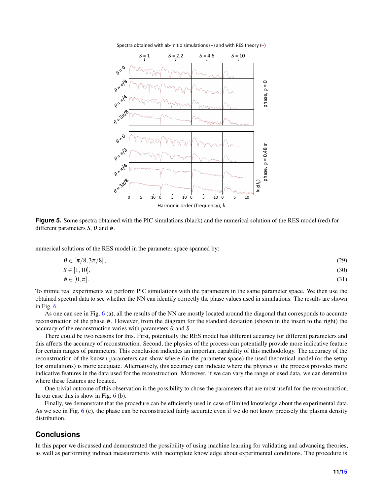<span id="page-10-0"></span>

Spectra obtained with ab-initio simulations  $(-)$  and with RES theory  $(-)$ 

**Figure 5.** Some spectra obtained with the PIC simulations (black) and the numerical solution of the RES model (red) for different parameters *S*,  $\theta$  and  $\phi$ .

numerical solutions of the RES model in the parameter space spanned by:

$$
\theta \in [\pi/8, 3\pi/8],
$$
  
\n
$$
S \in [1, 10],
$$
  
\n
$$
\phi \in [0, \pi].
$$
\n(30)  
\n(31)

To mimic real experiments we perform PIC simulations with the parameters in the same parameter space. We then use the obtained spectral data to see whether the NN can identify correctly the phase values used in simulations. The results are shown in Fig. [6.](#page-11-4)

As one can see in Fig. [6](#page-11-4) (a), all the results of the NN are mostly located around the diagonal that corresponds to accurate reconstruction of the phase φ. However, from the diagram for the standard deviation (shown in the insert to the right) the accuracy of the reconstruction varies with parameters θ and *S*.

There could be two reasons for this. First, potentially the RES model has different accuracy for different parameters and this affects the accuracy of reconstruction. Second, the physics of the process can potentially provide more indicative feature for certain ranges of parameters. This conclusion indicates an important capability of this methodology. The accuracy of the reconstruction of the known parameters can show where (in the parameter space) the used theoretical model (or the setup for simulations) is more adequate. Alternatively, this accuracy can indicate where the physics of the process provides more indicative features in the data used for the reconstruction. Moreover, if we can vary the range of used data, we can determine where these features are located.

One trivial outcome of this observation is the possibility to chose the parameters that are most useful for the reconstruction. In our case this is show in Fig.  $6$  (b).

Finally, we demonstrate that the procedure can be efficiently used in case of limited knowledge about the experimental data. As we see in Fig. [6](#page-11-4) (c), the phase can be reconstructed fairly accurate even if we do not know precisely the plasma density distribution.

## **Conclusions**

In this paper we discussed and demonstrated the possibility of using machine learning for validating and advancing theories, as well as performing indirect measurements with incomplete knowledge about experimental conditions. The procedure is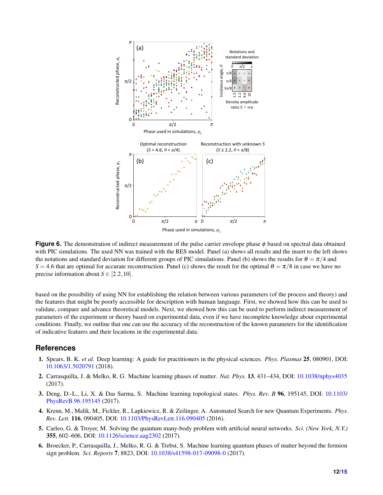<span id="page-11-4"></span>

**Figure 6.** The demonstration of indirect measurement of the pulse carrier envelope phase φ based on spectral data obtained with PIC simulations. The used NN was trained with the RES model. Panel (a) shows all results and the insert to the left shows the notations and standard deviation for different groups of PIC simulations. Panel (b) shows the results for  $\theta = \pi/4$  and *S* = 4.6 that are optimal for accurate reconstruction. Panel (c) shows the result for the optimal  $\theta = \pi/8$  in case we have no precise information about  $S \in [2.2, 10]$ .

based on the possibility of using NN for establishing the relation between various parameters (of the process and theory) and the features that might be poorly accessible for description with human language. First, we showed how this can be used to validate, compare and advance theoretical models. Next, we showed how this can be used to perform indirect measurement of parameters of the experiment or theory based on experimental data, even if we have incomplete knowledge about experimental conditions. Finally, we outline that one can use the accuracy of the reconstruction of the known parameters for the identification of indicative features and their locations in the experimental data.

## **References**

- <span id="page-11-0"></span>1. Spears, B. K. *et al.* Deep learning: A guide for practitioners in the physical sciences. *Phys. Plasmas* 25, 080901, DOI: <10.1063/1.5020791> (2018).
- <span id="page-11-1"></span>2. Carrasquilla, J. & Melko, R. G. Machine learning phases of matter. *Nat. Phys.* 13, 431–434, DOI: <10.1038/nphys4035> (2017).
- <span id="page-11-2"></span>3. Deng, D.-L., Li, X. & Das Sarma, S. Machine learning topological states. *Phys. Rev. B* 96, 195145, DOI: [10.1103/](10.1103/PhysRevB.96.195145) [PhysRevB.96.195145](10.1103/PhysRevB.96.195145) (2017).
- <span id="page-11-3"></span>4. Krenn, M., Malik, M., Fickler, R., Lapkiewicz, R. & Zeilinger, A. Automated Search for new Quantum Experiments. *Phys. Rev. Lett.* 116, 090405, DOI: <10.1103/PhysRevLett.116.090405> (2016).
- 5. Carleo, G. & Troyer, M. Solving the quantum many-body problem with artificial neural networks. *Sci. (New York, N.Y.)* 355, 602–606, DOI: <10.1126/science.aag2302> (2017).
- 6. Broecker, P., Carrasquilla, J., Melko, R. G. & Trebst, S. Machine learning quantum phases of matter beyond the fermion sign problem. *Sci. Reports* 7, 8823, DOI: <10.1038/s41598-017-09098-0> (2017).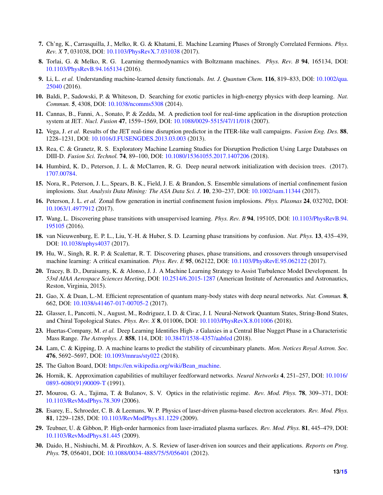- <span id="page-12-0"></span>7. Ch'ng, K., Carrasquilla, J., Melko, R. G. & Khatami, E. Machine Learning Phases of Strongly Correlated Fermions. *Phys. Rev. X* 7, 031038, DOI: <10.1103/PhysRevX.7.031038> (2017).
- <span id="page-12-1"></span>8. Torlai, G. & Melko, R. G. Learning thermodynamics with Boltzmann machines. *Phys. Rev. B* 94, 165134, DOI: <10.1103/PhysRevB.94.165134> (2016).
- <span id="page-12-2"></span>9. Li, L. *et al.* Understanding machine-learned density functionals. *Int. J. Quantum Chem.* 116, 819–833, DOI: [10.1002/qua.](10.1002/qua.25040) [25040](10.1002/qua.25040) (2016).
- <span id="page-12-3"></span>10. Baldi, P., Sadowski, P. & Whiteson, D. Searching for exotic particles in high-energy physics with deep learning. *Nat. Commun.* 5, 4308, DOI: <10.1038/ncomms5308> (2014).
- <span id="page-12-4"></span>11. Cannas, B., Fanni, A., Sonato, P. & Zedda, M. A prediction tool for real-time application in the disruption protection system at JET. *Nucl. Fusion* 47, 1559–1569, DOI: <10.1088/0029-5515/47/11/018> (2007).
- 12. Vega, J. *et al.* Results of the JET real-time disruption predictor in the ITER-like wall campaigns. *Fusion Eng. Des.* 88, 1228–1231, DOI: <10.1016/J.FUSENGDES.2013.03.003> (2013).
- <span id="page-12-5"></span>13. Rea, C. & Granetz, R. S. Exploratory Machine Learning Studies for Disruption Prediction Using Large Databases on DIII-D. *Fusion Sci. Technol.* 74, 89–100, DOI: <10.1080/15361055.2017.1407206> (2018).
- <span id="page-12-6"></span>14. Humbird, K. D., Peterson, J. L. & McClarren, R. G. Deep neural network initialization with decision trees. (2017). [1707.00784.](1707.00784)
- 15. Nora, R., Peterson, J. L., Spears, B. K., Field, J. E. & Brandon, S. Ensemble simulations of inertial confinement fusion implosions. *Stat. Analysis Data Mining: The ASA Data Sci. J.* 10, 230–237, DOI: <10.1002/sam.11344> (2017).
- <span id="page-12-7"></span>16. Peterson, J. L. *et al.* Zonal flow generation in inertial confinement fusion implosions. *Phys. Plasmas* 24, 032702, DOI: <10.1063/1.4977912> (2017).
- <span id="page-12-8"></span>17. Wang, L. Discovering phase transitions with unsupervised learning. *Phys. Rev. B* 94, 195105, DOI: [10.1103/PhysRevB.94.](10.1103/PhysRevB.94.195105) [195105](10.1103/PhysRevB.94.195105) (2016).
- 18. van Nieuwenburg, E. P. L., Liu, Y.-H. & Huber, S. D. Learning phase transitions by confusion. *Nat. Phys.* 13, 435–439, DOI: <10.1038/nphys4037> (2017).
- <span id="page-12-9"></span>19. Hu, W., Singh, R. R. P. & Scalettar, R. T. Discovering phases, phase transitions, and crossovers through unsupervised machine learning: A critical examination. *Phys. Rev. E* 95, 062122, DOI: <10.1103/PhysRevE.95.062122> (2017).
- <span id="page-12-10"></span>20. Tracey, B. D., Duraisamy, K. & Alonso, J. J. A Machine Learning Strategy to Assist Turbulence Model Development. In *53rd AIAA Aerospace Sciences Meeting*, DOI: <10.2514/6.2015-1287> (American Institute of Aeronautics and Astronautics, Reston, Virginia, 2015).
- <span id="page-12-11"></span>21. Gao, X. & Duan, L.-M. Efficient representation of quantum many-body states with deep neural networks. *Nat. Commun.* 8, 662, DOI: <10.1038/s41467-017-00705-2> (2017).
- <span id="page-12-12"></span>22. Glasser, I., Pancotti, N., August, M., Rodriguez, I. D. & Cirac, J. I. Neural-Network Quantum States, String-Bond States, and Chiral Topological States. *Phys. Rev. X* 8, 011006, DOI: <10.1103/PhysRevX.8.011006> (2018).
- <span id="page-12-13"></span>23. Huertas-Company, M. *et al.* Deep Learning Identifies High- z Galaxies in a Central Blue Nugget Phase in a Characteristic Mass Range. *The Astrophys. J.* 858, 114, DOI: <10.3847/1538-4357/aabfed> (2018).
- <span id="page-12-14"></span>24. Lam, C. & Kipping, D. A machine learns to predict the stability of circumbinary planets. *Mon. Notices Royal Astron. Soc.* 476, 5692–5697, DOI: <10.1093/mnras/sty022> (2018).
- <span id="page-12-15"></span>25. The Galton Board, DOI: [https://en.wikipedia.org/wiki/Bean\\_machine.](https://en.wikipedia.org/wiki/Bean_machine)
- <span id="page-12-16"></span>26. Hornik, K. Approximation capabilities of multilayer feedforward networks. *Neural Networks* 4, 251–257, DOI: [10.1016/](10.1016/0893-6080(91)90009-T) [0893-6080\(91\)90009-T](10.1016/0893-6080(91)90009-T) (1991).
- <span id="page-12-17"></span>27. Mourou, G. A., Tajima, T. & Bulanov, S. V. Optics in the relativistic regime. *Rev. Mod. Phys.* 78, 309–371, DOI: <10.1103/RevModPhys.78.309> (2006).
- <span id="page-12-18"></span>28. Esarey, E., Schroeder, C. B. & Leemans, W. P. Physics of laser-driven plasma-based electron accelerators. *Rev. Mod. Phys.* 81, 1229–1285, DOI: <10.1103/RevModPhys.81.1229> (2009).
- 29. Teubner, U. & Gibbon, P. High-order harmonics from laser-irradiated plasma surfaces. *Rev. Mod. Phys.* 81, 445–479, DOI: <10.1103/RevModPhys.81.445> (2009).
- 30. Daido, H., Nishiuchi, M. & Pirozhkov, A. S. Review of laser-driven ion sources and their applications. *Reports on Prog. Phys.* 75, 056401, DOI: <10.1088/0034-4885/75/5/056401> (2012).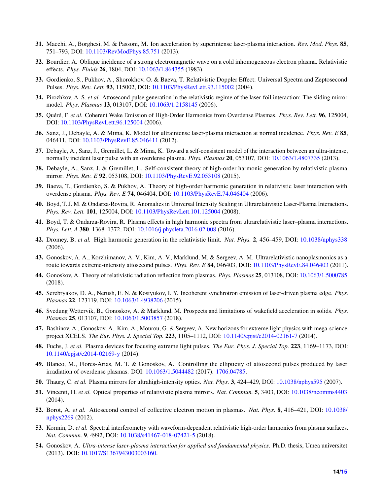- <span id="page-13-0"></span>31. Macchi, A., Borghesi, M. & Passoni, M. Ion acceleration by superintense laser-plasma interaction. *Rev. Mod. Phys.* 85, 751–793, DOI: <10.1103/RevModPhys.85.751> (2013).
- <span id="page-13-1"></span>32. Bourdier, A. Oblique incidence of a strong electromagnetic wave on a cold inhomogeneous electron plasma. Relativistic effects. *Phys. Fluids* 26, 1804, DOI: <10.1063/1.864355> (1983).
- <span id="page-13-2"></span>33. Gordienko, S., Pukhov, A., Shorokhov, O. & Baeva, T. Relativistic Doppler Effect: Universal Spectra and Zeptosecond Pulses. *Phys. Rev. Lett.* 93, 115002, DOI: <10.1103/PhysRevLett.93.115002> (2004).
- <span id="page-13-5"></span>34. Pirozhkov, A. S. *et al.* Attosecond pulse generation in the relativistic regime of the laser-foil interaction: The sliding mirror model. *Phys. Plasmas* 13, 013107, DOI: <10.1063/1.2158145> (2006).
- 35. Quéré, F. *et al.* Coherent Wake Emission of High-Order Harmonics from Overdense Plasmas. *Phys. Rev. Lett.* 96, 125004, DOI: <10.1103/PhysRevLett.96.125004> (2006).
- 36. Sanz, J., Debayle, A. & Mima, K. Model for ultraintense laser-plasma interaction at normal incidence. *Phys. Rev. E* 85, 046411, DOI: <10.1103/PhysRevE.85.046411> (2012).
- <span id="page-13-6"></span>37. Debayle, A., Sanz, J., Gremillet, L. & Mima, K. Toward a self-consistent model of the interaction between an ultra-intense, normally incident laser pulse with an overdense plasma. *Phys. Plasmas* 20, 053107, DOI: <10.1063/1.4807335> (2013).
- <span id="page-13-3"></span>38. Debayle, A., Sanz, J. & Gremillet, L. Self-consistent theory of high-order harmonic generation by relativistic plasma mirror. *Phys. Rev. E* 92, 053108, DOI: <10.1103/PhysRevE.92.053108> (2015).
- <span id="page-13-4"></span>39. Baeva, T., Gordienko, S. & Pukhov, A. Theory of high-order harmonic generation in relativistic laser interaction with overdense plasma. *Phys. Rev. E* 74, 046404, DOI: <10.1103/PhysRevE.74.046404> (2006).
- <span id="page-13-7"></span>40. Boyd, T. J. M. & Ondarza-Rovira, R. Anomalies in Universal Intensity Scaling in Ultrarelativistic Laser-Plasma Interactions. *Phys. Rev. Lett.* 101, 125004, DOI: <10.1103/PhysRevLett.101.125004> (2008).
- <span id="page-13-8"></span>41. Boyd, T. & Ondarza-Rovira, R. Plasma effects in high harmonic spectra from ultrarelativistic laser–plasma interactions. *Phys. Lett. A* 380, 1368–1372, DOI: <10.1016/j.physleta.2016.02.008> (2016).
- <span id="page-13-9"></span>42. Dromey, B. *et al.* High harmonic generation in the relativistic limit. *Nat. Phys.* 2, 456–459, DOI: <10.1038/nphys338> (2006).
- <span id="page-13-10"></span>43. Gonoskov, A. A., Korzhimanov, A. V., Kim, A. V., Marklund, M. & Sergeev, A. M. Ultrarelativistic nanoplasmonics as a route towards extreme-intensity attosecond pulses. *Phys. Rev. E* 84, 046403, DOI: <10.1103/PhysRevE.84.046403> (2011).
- <span id="page-13-11"></span>44. Gonoskov, A. Theory of relativistic radiation reflection from plasmas. *Phys. Plasmas* 25, 013108, DOI: <10.1063/1.5000785> (2018).
- <span id="page-13-12"></span>45. Serebryakov, D. A., Nerush, E. N. & Kostyukov, I. Y. Incoherent synchrotron emission of laser-driven plasma edge. *Phys. Plasmas* 22, 123119, DOI: <10.1063/1.4938206> (2015).
- <span id="page-13-13"></span>46. Svedung Wettervik, B., Gonoskov, A. & Marklund, M. Prospects and limitations of wakefield acceleration in solids. *Phys. Plasmas* 25, 013107, DOI: <10.1063/1.5003857> (2018).
- <span id="page-13-14"></span>47. Bashinov, A., Gonoskov, A., Kim, A., Mourou, G. & Sergeev, A. New horizons for extreme light physics with mega-science project XCELS. *The Eur. Phys. J. Special Top.* 223, 1105–1112, DOI: <10.1140/epjst/e2014-02161-7> (2014).
- <span id="page-13-15"></span>48. Fuchs, J. *et al.* Plasma devices for focusing extreme light pulses. *The Eur. Phys. J. Special Top.* 223, 1169–1173, DOI: <10.1140/epjst/e2014-02169-y> (2014).
- <span id="page-13-16"></span>49. Blanco, M., Flores-Arias, M. T. & Gonoskov, A. Controlling the ellipticity of attosecond pulses produced by laser irradiation of overdense plasmas. DOI: <10.1063/1.5044482> (2017). [1706.04785.](1706.04785)
- <span id="page-13-17"></span>50. Thaury, C. *et al.* Plasma mirrors for ultrahigh-intensity optics. *Nat. Phys.* 3, 424–429, DOI: <10.1038/nphys595> (2007).
- 51. Vincenti, H. *et al.* Optical properties of relativistic plasma mirrors. *Nat. Commun.* 5, 3403, DOI: <10.1038/ncomms4403> (2014).
- <span id="page-13-20"></span>52. Borot, A. *et al.* Attosecond control of collective electron motion in plasmas. *Nat. Phys.* 8, 416–421, DOI: [10.1038/](10.1038/nphys2269) [nphys2269](10.1038/nphys2269) (2012).
- <span id="page-13-18"></span>53. Kormin, D. *et al.* Spectral interferometry with waveform-dependent relativistic high-order harmonics from plasma surfaces. *Nat. Commun.* 9, 4992, DOI: <10.1038/s41467-018-07421-5> (2018).
- <span id="page-13-19"></span>54. Gonoskov, A. *Ultra-intense laser-plasma interaction for applied and fundamental physics*. Ph.D. thesis, Umea universitet (2013). DOI: [10.1017/S1367943003003160.](10.1017/S1367943003003160)